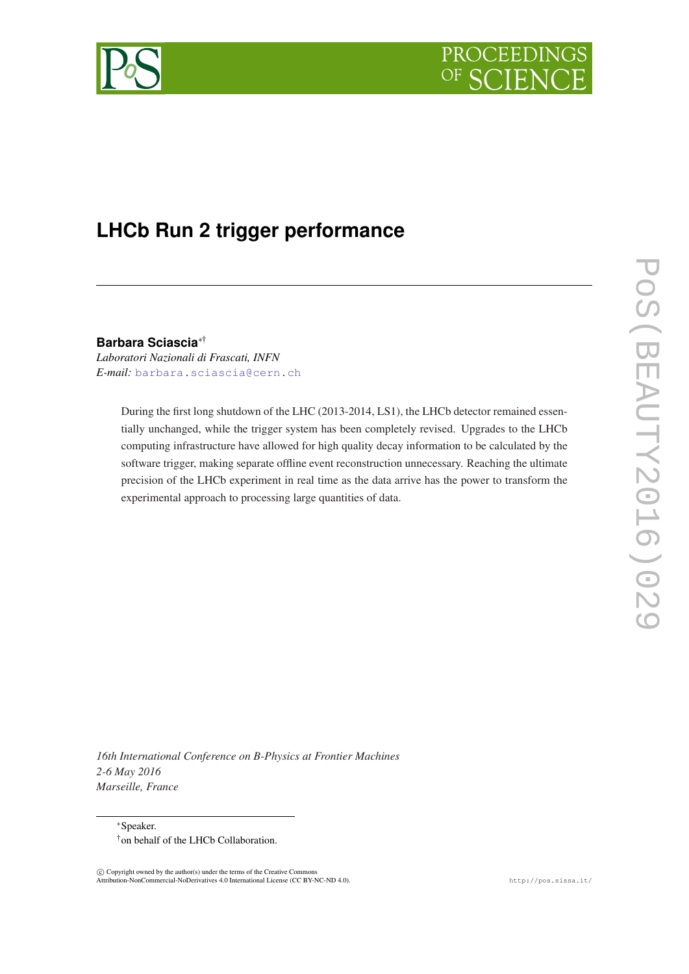

# **LHCb Run 2 trigger performance**

**Barbara Sciascia**∗† *Laboratori Nazionali di Frascati, INFN*

*E-mail:* [barbara.sciascia@cern.ch](mailto:barbara.sciascia@cern.ch)

During the first long shutdown of the LHC (2013-2014, LS1), the LHCb detector remained essentially unchanged, while the trigger system has been completely revised. Upgrades to the LHCb computing infrastructure have allowed for high quality decay information to be calculated by the software trigger, making separate offline event reconstruction unnecessary. Reaching the ultimate precision of the LHCb experiment in real time as the data arrive has the power to transform the experimental approach to processing large quantities of data.

POS(BEAUTY2016)029 PoS(BEAUTY2016)029

*16th International Conference on B-Physics at Frontier Machines 2-6 May 2016 Marseille, France*

<sup>∗</sup>Speaker. †on behalf of the LHCb Collaboration.

 $\overline{c}$  Copyright owned by the author(s) under the terms of the Creative Common Attribution-NonCommercial-NoDerivatives 4.0 International License (CC BY-NC-ND 4.0). http://pos.sissa.it/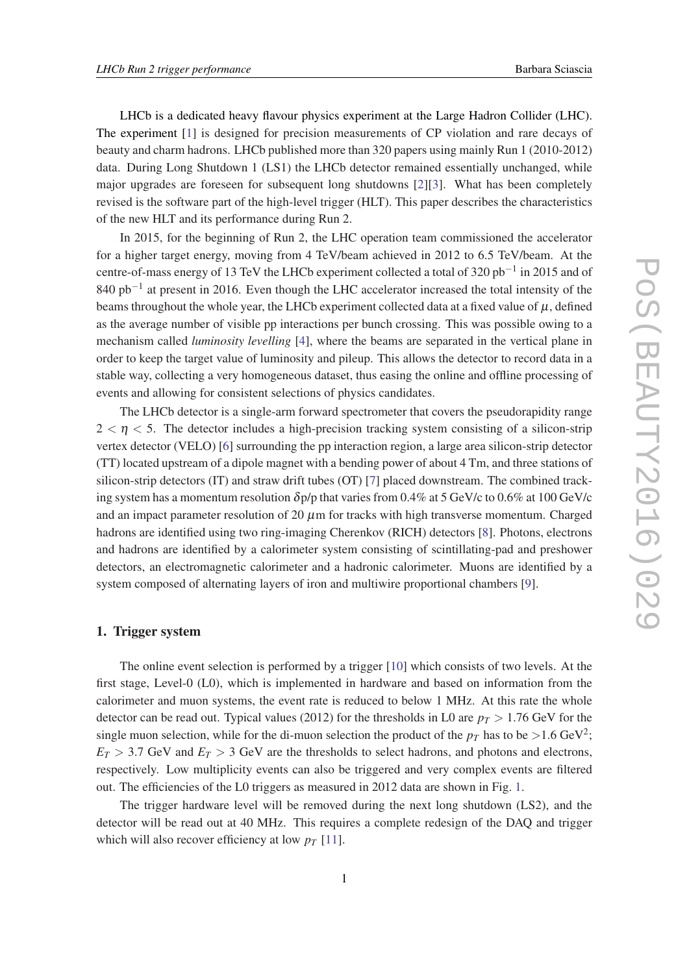LHCb is a dedicated heavy flavour physics experiment at the Large Hadron Collider (LHC). The experiment [[1](#page-6-0)] is designed for precision measurements of CP violation and rare decays of beauty and charm hadrons. LHCb published more than 320 papers using mainly Run 1 (2010-2012) data. During Long Shutdown 1 (LS1) the LHCb detector remained essentially unchanged, while major upgrades are foreseen for subsequent long shutdowns [\[2](#page-6-0)][[3](#page-6-0)]. What has been completely revised is the software part of the high-level trigger (HLT). This paper describes the characteristics of the new HLT and its performance during Run 2.

In 2015, for the beginning of Run 2, the LHC operation team commissioned the accelerator for a higher target energy, moving from 4 TeV/beam achieved in 2012 to 6.5 TeV/beam. At the centre-of-mass energy of 13 TeV the LHCb experiment collected a total of 320 pb<sup>-1</sup> in 2015 and of 840 pb<sup>-1</sup> at present in 2016. Even though the LHC accelerator increased the total intensity of the beams throughout the whole year, the LHCb experiment collected data at a fixed value of  $\mu$ , defined as the average number of visible pp interactions per bunch crossing. This was possible owing to a mechanism called *luminosity levelling* [[4](#page-6-0)], where the beams are separated in the vertical plane in order to keep the target value of luminosity and pileup. This allows the detector to record data in a stable way, collecting a very homogeneous dataset, thus easing the online and offline processing of events and allowing for consistent selections of physics candidates.

The LHCb detector is a single-arm forward spectrometer that covers the pseudorapidity range  $2 < \eta < 5$ . The detector includes a high-precision tracking system consisting of a silicon-strip vertex detector (VELO) [[6](#page-7-0)] surrounding the pp interaction region, a large area silicon-strip detector (TT) located upstream of a dipole magnet with a bending power of about 4 Tm, and three stations of silicon-strip detectors (IT) and straw drift tubes (OT) [\[7\]](#page-7-0) placed downstream. The combined tracking system has a momentum resolution  $\delta p/p$  that varies from 0.4% at 5 GeV/c to 0.6% at 100 GeV/c and an impact parameter resolution of 20  $\mu$ m for tracks with high transverse momentum. Charged hadrons are identified using two ring-imaging Cherenkov (RICH) detectors [[8](#page-7-0)]. Photons, electrons and hadrons are identified by a calorimeter system consisting of scintillating-pad and preshower detectors, an electromagnetic calorimeter and a hadronic calorimeter. Muons are identified by a system composed of alternating layers of iron and multiwire proportional chambers [[9](#page-7-0)].

## 1. Trigger system

The online event selection is performed by a trigger [\[10](#page-7-0)] which consists of two levels. At the first stage, Level-0 (L0), which is implemented in hardware and based on information from the calorimeter and muon systems, the event rate is reduced to below 1 MHz. At this rate the whole detector can be read out. Typical values (2012) for the thresholds in L0 are  $p_T > 1.76$  GeV for the single muon selection, while for the di-muon selection the product of the  $p_T$  has to be  $>$ 1.6 GeV<sup>2</sup>;  $E_T > 3.7$  GeV and  $E_T > 3$  GeV are the thresholds to select hadrons, and photons and electrons, respectively. Low multiplicity events can also be triggered and very complex events are filtered out. The efficiencies of the L0 triggers as measured in 2012 data are shown in Fig. [1.](#page-2-0)

The trigger hardware level will be removed during the next long shutdown (LS2), and the detector will be read out at 40 MHz. This requires a complete redesign of the DAQ and trigger which will also recover efficiency at low  $p<sub>T</sub>$  [\[11](#page-7-0)].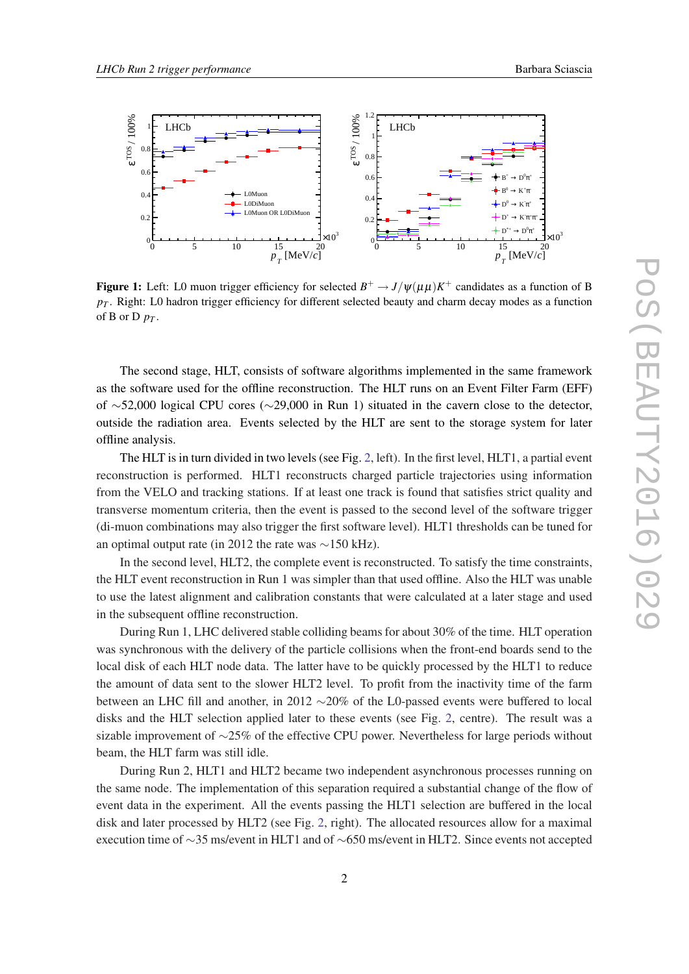<span id="page-2-0"></span>

Figure 1: Left: L0 muon trigger efficiency for selected  $B^+ \to J/\psi(\mu\mu)K^+$  candidates as a function of B  $p_T$ . Right: L0 hadron trigger efficiency for different selected beauty and charm decay modes as a function of **B** or  $D$   $p_T$ .

The second stage, HLT, consists of software algorithms implemented in the same framework as the software used for the offline reconstruction. The HLT runs on an Event Filter Farm (EFF) of ∼52,000 logical CPU cores (∼29,000 in Run 1) situated in the cavern close to the detector, outside the radiation area. Events selected by the HLT are sent to the storage system for later offline analysis.

The HLT is in turn divided in two levels (see Fig. [2](#page-3-0), left). In the first level, HLT1, a partial event reconstruction is performed. HLT1 reconstructs charged particle trajectories using information from the VELO and tracking stations. If at least one track is found that satisfies strict quality and transverse momentum criteria, then the event is passed to the second level of the software trigger (di-muon combinations may also trigger the first software level). HLT1 thresholds can be tuned for an optimal output rate (in 2012 the rate was ∼150 kHz).

In the second level, HLT2, the complete event is reconstructed. To satisfy the time constraints, the HLT event reconstruction in Run 1 was simpler than that used offline. Also the HLT was unable to use the latest alignment and calibration constants that were calculated at a later stage and used in the subsequent offline reconstruction.

During Run 1, LHC delivered stable colliding beams for about 30% of the time. HLT operation was synchronous with the delivery of the particle collisions when the front-end boards send to the local disk of each HLT node data. The latter have to be quickly processed by the HLT1 to reduce the amount of data sent to the slower HLT2 level. To profit from the inactivity time of the farm between an LHC fill and another, in 2012 ∼20% of the L0-passed events were buffered to local disks and the HLT selection applied later to these events (see Fig. [2,](#page-3-0) centre). The result was a sizable improvement of ∼25% of the effective CPU power. Nevertheless for large periods without beam, the HLT farm was still idle.

During Run 2, HLT1 and HLT2 became two independent asynchronous processes running on the same node. The implementation of this separation required a substantial change of the flow of event data in the experiment. All the events passing the HLT1 selection are buffered in the local disk and later processed by HLT2 (see Fig. [2](#page-3-0), right). The allocated resources allow for a maximal execution time of ∼35 ms/event in HLT1 and of ∼650 ms/event in HLT2. Since events not accepted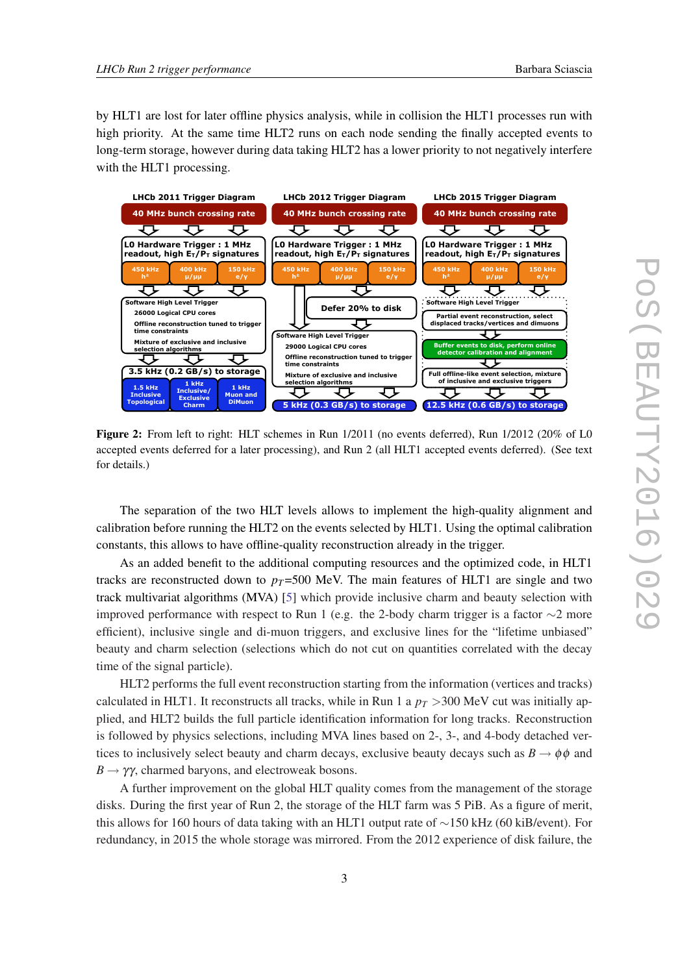<span id="page-3-0"></span>by HLT1 are lost for later offline physics analysis, while in collision the HLT1 processes run with high priority. At the same time HLT2 runs on each node sending the finally accepted events to long-term storage, however during data taking HLT2 has a lower priority to not negatively interfere with the HLT1 processing.



Figure 2: From left to right: HLT schemes in Run 1/2011 (no events deferred), Run 1/2012 (20% of L0 accepted events deferred for a later processing), and Run 2 (all HLT1 accepted events deferred). (See text for details.)

The separation of the two HLT levels allows to implement the high-quality alignment and calibration before running the HLT2 on the events selected by HLT1. Using the optimal calibration constants, this allows to have offline-quality reconstruction already in the trigger.

As an added benefit to the additional computing resources and the optimized code, in HLT1 tracks are reconstructed down to  $p_T$ =500 MeV. The main features of HLT1 are single and two track multivariat algorithms (MVA) [\[5\]](#page-6-0) which provide inclusive charm and beauty selection with improved performance with respect to Run 1 (e.g. the 2-body charm trigger is a factor  $\sim$ 2 more efficient), inclusive single and di-muon triggers, and exclusive lines for the "lifetime unbiased" beauty and charm selection (selections which do not cut on quantities correlated with the decay time of the signal particle).

HLT2 performs the full event reconstruction starting from the information (vertices and tracks) calculated in HLT1. It reconstructs all tracks, while in Run 1 a  $p_T > 300$  MeV cut was initially applied, and HLT2 builds the full particle identification information for long tracks. Reconstruction is followed by physics selections, including MVA lines based on 2-, 3-, and 4-body detached vertices to inclusively select beauty and charm decays, exclusive beauty decays such as  $B \to \phi \phi$  and  $B \rightarrow \gamma \gamma$ , charmed baryons, and electroweak bosons.

A further improvement on the global HLT quality comes from the management of the storage disks. During the first year of Run 2, the storage of the HLT farm was 5 PiB. As a figure of merit, this allows for 160 hours of data taking with an HLT1 output rate of ∼150 kHz (60 kiB/event). For redundancy, in 2015 the whole storage was mirrored. From the 2012 experience of disk failure, the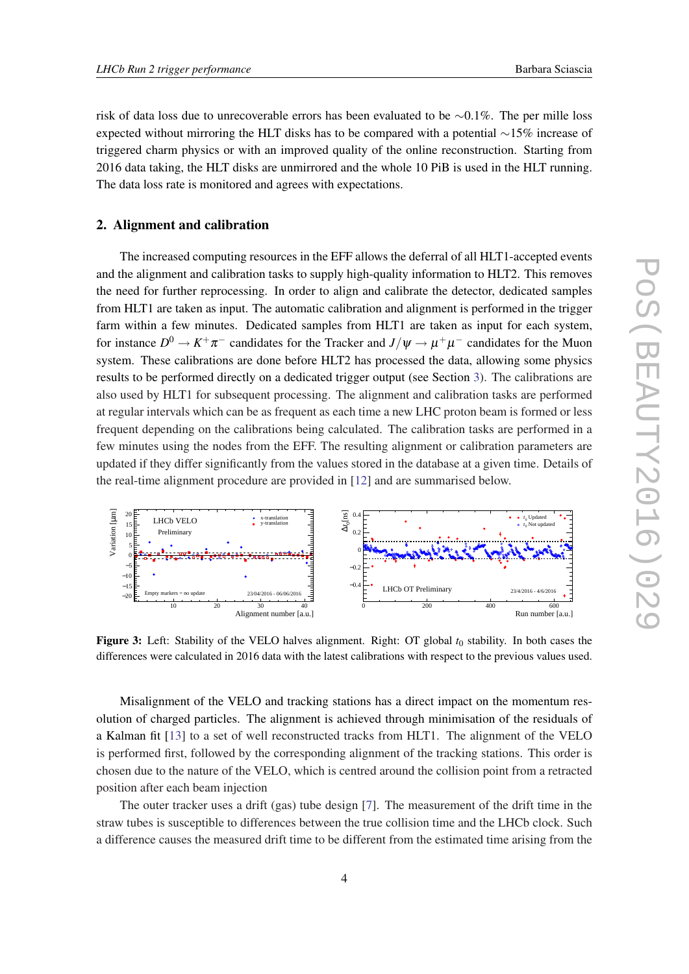<span id="page-4-0"></span>risk of data loss due to unrecoverable errors has been evaluated to be ∼0.1%. The per mille loss expected without mirroring the HLT disks has to be compared with a potential ∼15% increase of triggered charm physics or with an improved quality of the online reconstruction. Starting from 2016 data taking, the HLT disks are unmirrored and the whole 10 PiB is used in the HLT running. The data loss rate is monitored and agrees with expectations.

# 2. Alignment and calibration

The increased computing resources in the EFF allows the deferral of all HLT1-accepted events and the alignment and calibration tasks to supply high-quality information to HLT2. This removes the need for further reprocessing. In order to align and calibrate the detector, dedicated samples from HLT1 are taken as input. The automatic calibration and alignment is performed in the trigger farm within a few minutes. Dedicated samples from HLT1 are taken as input for each system, for instance  $D^0 \to K^+\pi^-$  candidates for the Tracker and  $J/\psi \to \mu^+\mu^-$  candidates for the Muon system. These calibrations are done before HLT2 has processed the data, allowing some physics results to be performed directly on a dedicated trigger output (see Section [3\)](#page-5-0). The calibrations are also used by HLT1 for subsequent processing. The alignment and calibration tasks are performed at regular intervals which can be as frequent as each time a new LHC proton beam is formed or less frequent depending on the calibrations being calculated. The calibration tasks are performed in a few minutes using the nodes from the EFF. The resulting alignment or calibration parameters are updated if they differ significantly from the values stored in the database at a given time. Details of the real-time alignment procedure are provided in [\[12](#page-7-0)] and are summarised below.



Figure 3: Left: Stability of the VELO halves alignment. Right: OT global  $t_0$  stability. In both cases the differences were calculated in 2016 data with the latest calibrations with respect to the previous values used.

Misalignment of the VELO and tracking stations has a direct impact on the momentum resolution of charged particles. The alignment is achieved through minimisation of the residuals of a Kalman fit [\[13\]](#page-7-0) to a set of well reconstructed tracks from HLT1. The alignment of the VELO is performed first, followed by the corresponding alignment of the tracking stations. This order is chosen due to the nature of the VELO, which is centred around the collision point from a retracted position after each beam injection

The outer tracker uses a drift (gas) tube design [\[7\]](#page-7-0). The measurement of the drift time in the straw tubes is susceptible to differences between the true collision time and the LHCb clock. Such a difference causes the measured drift time to be different from the estimated time arising from the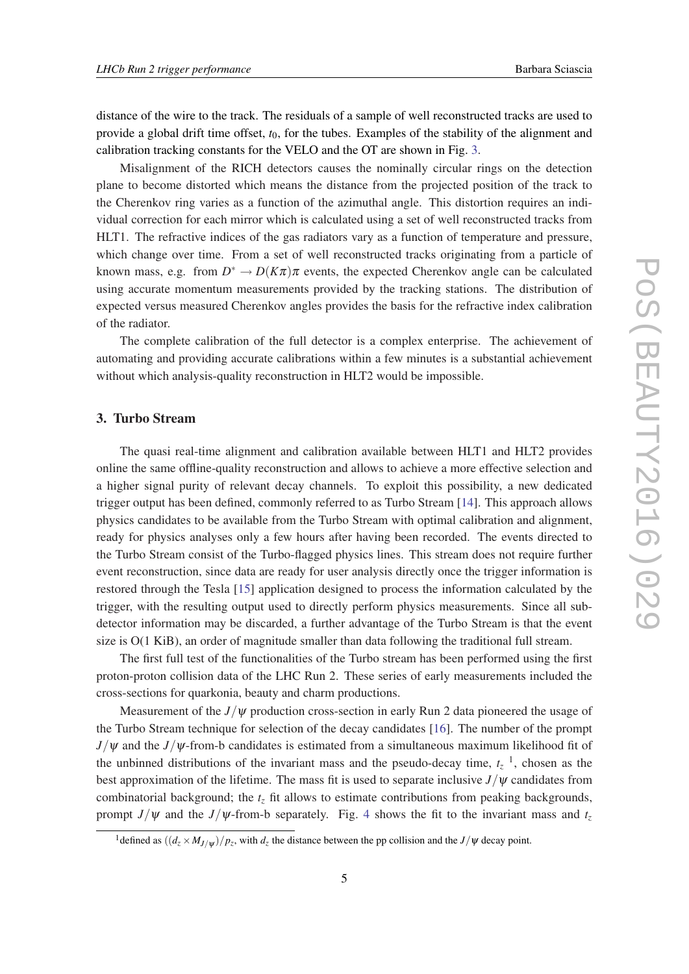<span id="page-5-0"></span>distance of the wire to the track. The residuals of a sample of well reconstructed tracks are used to provide a global drift time offset, *t*0, for the tubes. Examples of the stability of the alignment and calibration tracking constants for the VELO and the OT are shown in Fig. [3.](#page-4-0)

Misalignment of the RICH detectors causes the nominally circular rings on the detection plane to become distorted which means the distance from the projected position of the track to the Cherenkov ring varies as a function of the azimuthal angle. This distortion requires an individual correction for each mirror which is calculated using a set of well reconstructed tracks from HLT1. The refractive indices of the gas radiators vary as a function of temperature and pressure, which change over time. From a set of well reconstructed tracks originating from a particle of known mass, e.g. from  $D^* \to D(K\pi)\pi$  events, the expected Cherenkov angle can be calculated using accurate momentum measurements provided by the tracking stations. The distribution of expected versus measured Cherenkov angles provides the basis for the refractive index calibration of the radiator.

The complete calibration of the full detector is a complex enterprise. The achievement of automating and providing accurate calibrations within a few minutes is a substantial achievement without which analysis-quality reconstruction in HLT2 would be impossible.

#### 3. Turbo Stream

The quasi real-time alignment and calibration available between HLT1 and HLT2 provides online the same offline-quality reconstruction and allows to achieve a more effective selection and a higher signal purity of relevant decay channels. To exploit this possibility, a new dedicated trigger output has been defined, commonly referred to as Turbo Stream [[14](#page-7-0)]. This approach allows physics candidates to be available from the Turbo Stream with optimal calibration and alignment, ready for physics analyses only a few hours after having been recorded. The events directed to the Turbo Stream consist of the Turbo-flagged physics lines. This stream does not require further event reconstruction, since data are ready for user analysis directly once the trigger information is restored through the Tesla [[15](#page-7-0)] application designed to process the information calculated by the trigger, with the resulting output used to directly perform physics measurements. Since all subdetector information may be discarded, a further advantage of the Turbo Stream is that the event size is O(1 KiB), an order of magnitude smaller than data following the traditional full stream.

The first full test of the functionalities of the Turbo stream has been performed using the first proton-proton collision data of the LHC Run 2. These series of early measurements included the cross-sections for quarkonia, beauty and charm productions.

Measurement of the  $J/\psi$  production cross-section in early Run 2 data pioneered the usage of the Turbo Stream technique for selection of the decay candidates [[16\]](#page-7-0). The number of the prompt  $J/\psi$  and the  $J/\psi$ -from-b candidates is estimated from a simultaneous maximum likelihood fit of the unbinned distributions of the invariant mass and the pseudo-decay time,  $t<sub>z</sub>$ <sup>1</sup>, chosen as the best approximation of the lifetime. The mass fit is used to separate inclusive  $J/\psi$  candidates from combinatorial background; the *t<sup>z</sup>* fit allows to estimate contributions from peaking backgrounds, prompt *J*/ $\psi$  and the *J*/ $\psi$ -from-b separately. Fig. [4](#page-6-0) shows the fit to the invariant mass and  $t_z$ 

<sup>&</sup>lt;sup>1</sup> defined as  $((d_z \times M_{J/\psi})/p_z$ , with  $d_z$  the distance between the pp collision and the  $J/\psi$  decay point.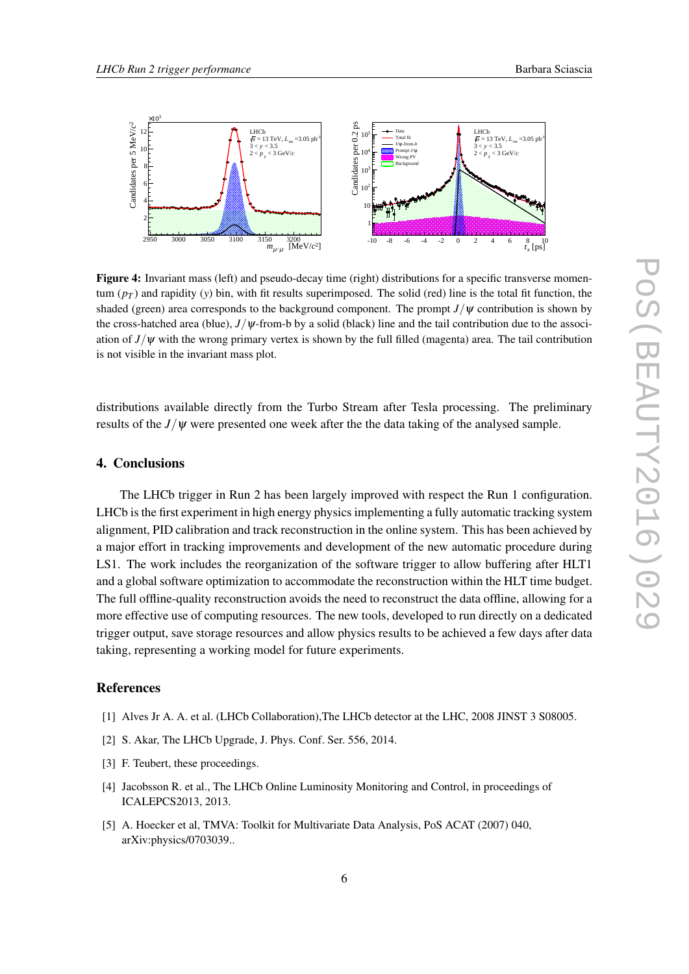<span id="page-6-0"></span>

Figure 4: Invariant mass (left) and pseudo-decay time (right) distributions for a specific transverse momentum  $(p_T)$  and rapidity (*y*) bin, with fit results superimposed. The solid (red) line is the total fit function, the shaded (green) area corresponds to the background component. The prompt  $J/\psi$  contribution is shown by the cross-hatched area (blue),  $J/\psi$ -from-b by a solid (black) line and the tail contribution due to the association of  $J/\psi$  with the wrong primary vertex is shown by the full filled (magenta) area. The tail contribution is not visible in the invariant mass plot.

distributions available directly from the Turbo Stream after Tesla processing. The preliminary results of the *J*/ψ were presented one week after the the data taking of the analysed sample.

### 4. Conclusions

The LHCb trigger in Run 2 has been largely improved with respect the Run 1 configuration. LHCb is the first experiment in high energy physics implementing a fully automatic tracking system alignment, PID calibration and track reconstruction in the online system. This has been achieved by a major effort in tracking improvements and development of the new automatic procedure during LS1. The work includes the reorganization of the software trigger to allow buffering after HLT1 and a global software optimization to accommodate the reconstruction within the HLT time budget. The full offline-quality reconstruction avoids the need to reconstruct the data offline, allowing for a more effective use of computing resources. The new tools, developed to run directly on a dedicated trigger output, save storage resources and allow physics results to be achieved a few days after data taking, representing a working model for future experiments.

#### References

- [1] Alves Jr A. A. et al. (LHCb Collaboration), The LHCb detector at the LHC, 2008 JINST 3 S08005.
- [2] S. Akar, The LHCb Upgrade, J. Phys. Conf. Ser. 556, 2014.
- [3] F. Teubert, these proceedings.
- [4] Jacobsson R. et al., The LHCb Online Luminosity Monitoring and Control, in proceedings of ICALEPCS2013, 2013.
- [5] A. Hoecker et al, TMVA: Toolkit for Multivariate Data Analysis, PoS ACAT (2007) 040, arXiv:physics/0703039..